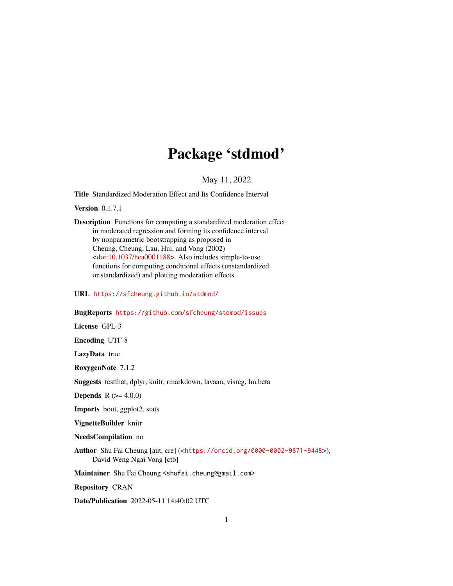# Package 'stdmod'

### May 11, 2022

<span id="page-0-0"></span>Title Standardized Moderation Effect and Its Confidence Interval

Version 0.1.7.1

Description Functions for computing a standardized moderation effect in moderated regression and forming its confidence interval by nonparametric bootstrapping as proposed in Cheung, Cheung, Lau, Hui, and Vong (2002) [<doi:10.1037/hea0001188>](https://doi.org/10.1037/hea0001188). Also includes simple-to-use functions for computing conditional effects (unstandardized or standardized) and plotting moderation effects.

URL <https://sfcheung.github.io/stdmod/>

### BugReports <https://github.com/sfcheung/stdmod/issues>

License GPL-3

Encoding UTF-8

LazyData true

RoxygenNote 7.1.2

Suggests testthat, dplyr, knitr, rmarkdown, lavaan, visreg, lm.beta

**Depends**  $R (= 4.0.0)$ 

Imports boot, ggplot2, stats

VignetteBuilder knitr

NeedsCompilation no

Author Shu Fai Cheung [aut, cre] (<<https://orcid.org/0000-0002-9871-9448>>), David Weng Ngai Vong [ctb]

Maintainer Shu Fai Cheung <shufai.cheung@gmail.com>

Repository CRAN

Date/Publication 2022-05-11 14:40:02 UTC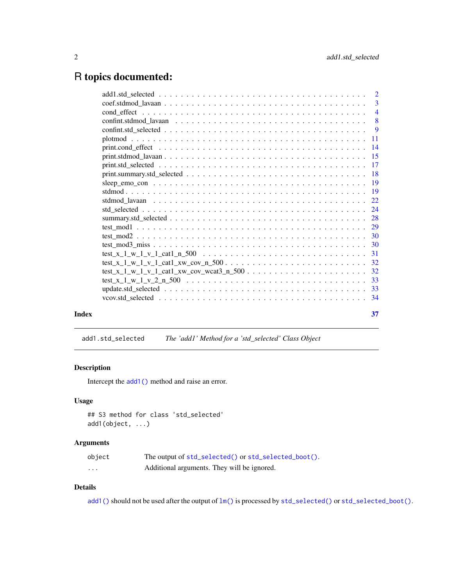## <span id="page-1-0"></span>R topics documented:

|       | $\overline{3}$ |
|-------|----------------|
|       |                |
|       |                |
|       |                |
|       |                |
|       |                |
|       |                |
|       | -17            |
|       |                |
|       |                |
|       |                |
|       |                |
|       |                |
|       |                |
|       |                |
|       |                |
|       |                |
|       |                |
|       |                |
|       |                |
|       |                |
|       |                |
|       |                |
|       |                |
| Index | 37             |

add1.std\_selected *The 'add1' Method for a 'std\_selected' Class Object*

### Description

Intercept the [add1\(\)](#page-0-0) method and raise an error.

### Usage

```
## S3 method for class 'std_selected'
add1(object, ...)
```
### Arguments

| object   | The output of std_selected() or std_selected_boot(). |
|----------|------------------------------------------------------|
| $\cdots$ | Additional arguments. They will be ignored.          |

### Details

[add1\(\)](#page-0-0) should not be used after the output of  $lm()$  is processed by [std\\_selected\(\)](#page-23-1) or [std\\_selected\\_boot\(\)](#page-23-2).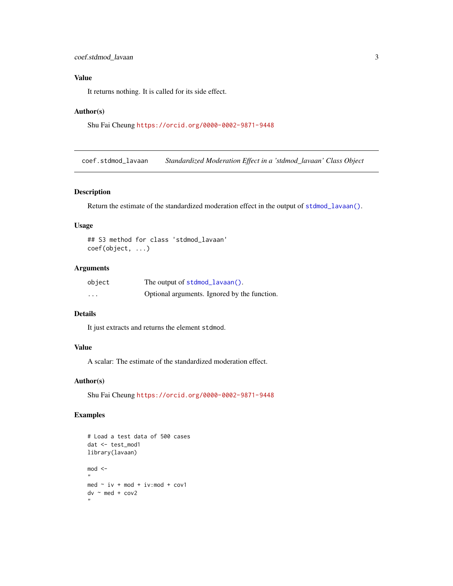### <span id="page-2-0"></span>Value

It returns nothing. It is called for its side effect.

#### Author(s)

```
Shu Fai Cheung https://orcid.org/0000-0002-9871-9448
```
coef.stdmod\_lavaan *Standardized Moderation Effect in a 'stdmod\_lavaan' Class Object*

### Description

Return the estimate of the standardized moderation effect in the output of [stdmod\\_lavaan\(\)](#page-21-1).

### Usage

```
## S3 method for class 'stdmod_lavaan'
coef(object, ...)
```
### Arguments

| object                  | The output of stdmod_lavaan().               |
|-------------------------|----------------------------------------------|
| $\cdot$ $\cdot$ $\cdot$ | Optional arguments. Ignored by the function. |

### Details

It just extracts and returns the element stdmod.

### Value

A scalar: The estimate of the standardized moderation effect.

### Author(s)

Shu Fai Cheung <https://orcid.org/0000-0002-9871-9448>

```
# Load a test data of 500 cases
dat <- test_mod1
library(lavaan)
mod <-
"
med \sim iv + mod + iv:mod + cov1
dv \sim med + cov2
,,
```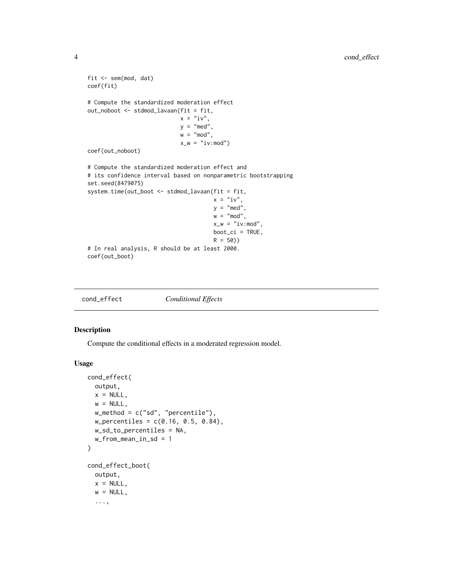```
fit <- sem(mod, dat)
coef(fit)
# Compute the standardized moderation effect
out_noboot <- stdmod_lavaan(fit = fit,
                           x = "iv",y = "med",w = "mod",
                            x_w = "iv:mod")coef(out_noboot)
# Compute the standardized moderation effect and
# its confidence interval based on nonparametric bootstrapping
set.seed(8479075)
system.time(out_boot <- stdmod_lavaan(fit = fit,
                                      x = "iv",y = "med",
                                      w = "mod",x_w = "iv:mod",boot_ci = TRUE,
                                      R = 50)# In real analysis, R should be at least 2000.
coef(out_boot)
```
<span id="page-3-1"></span>

| cond_effect | <b>Conditional Effects</b> |
|-------------|----------------------------|
|-------------|----------------------------|

### <span id="page-3-2"></span>Description

Compute the conditional effects in a moderated regression model.

#### Usage

```
cond_effect(
 output,
 x = NULL,w = NULL,w_method = c("sd", "percentile"),
  w_{\text{percentiles}} = c(0.16, 0.5, 0.84),w_sd_to_percentiles = NA,
  w_from_mean_in_sd = 1
\mathcal{L}cond_effect_boot(
 output,
 x = NULL,w = NULL,...,
```
<span id="page-3-0"></span>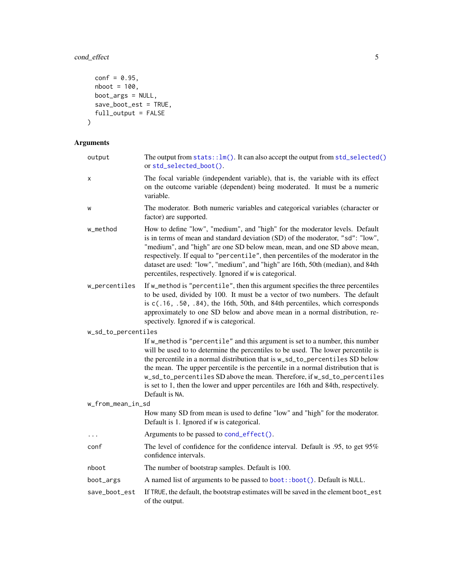## <span id="page-4-0"></span>cond\_effect 5

```
conf = 0.95,nboot = 100,boot_args = NULL,
 save_boot_est = TRUE,
 full_output = FALSE
\mathcal{L}
```
### Arguments

| output              | The output from $stats::lm()$ . It can also accept the output from $std\_selected()$<br>or std_selected_boot().                                                                                                                                                                                                                                                                                                                                                                                                            |
|---------------------|----------------------------------------------------------------------------------------------------------------------------------------------------------------------------------------------------------------------------------------------------------------------------------------------------------------------------------------------------------------------------------------------------------------------------------------------------------------------------------------------------------------------------|
| x                   | The focal variable (independent variable), that is, the variable with its effect<br>on the outcome variable (dependent) being moderated. It must be a numeric<br>variable.                                                                                                                                                                                                                                                                                                                                                 |
| W                   | The moderator. Both numeric variables and categorical variables (character or<br>factor) are supported.                                                                                                                                                                                                                                                                                                                                                                                                                    |
| w_method            | How to define "low", "medium", and "high" for the moderator levels. Default<br>is in terms of mean and standard deviation (SD) of the moderator, "sd": "low",<br>"medium", and "high" are one SD below mean, mean, and one SD above mean,<br>respectively. If equal to "percentile", then percentiles of the moderator in the<br>dataset are used: "low", "medium", and "high" are 16th, 50th (median), and 84th<br>percentiles, respectively. Ignored if w is categorical.                                                |
| w_percentiles       | If w_method is "percentile", then this argument specifies the three percentiles<br>to be used, divided by 100. It must be a vector of two numbers. The default<br>is c(.16, .50, .84), the 16th, 50th, and 84th percentiles, which corresponds<br>approximately to one SD below and above mean in a normal distribution, re-<br>spectively. Ignored if w is categorical.                                                                                                                                                   |
| w_sd_to_percentiles |                                                                                                                                                                                                                                                                                                                                                                                                                                                                                                                            |
|                     | If w_method is "percentile" and this argument is set to a number, this number<br>will be used to to determine the percentiles to be used. The lower percentile is<br>the percentile in a normal distribution that is w_sd_to_percentiles SD below<br>the mean. The upper percentile is the percentile in a normal distribution that is<br>w_sd_to_percentiles SD above the mean. Therefore, if w_sd_to_percentiles<br>is set to 1, then the lower and upper percentiles are 16th and 84th, respectively.<br>Default is NA. |
| w_from_mean_in_sd   |                                                                                                                                                                                                                                                                                                                                                                                                                                                                                                                            |
|                     | How many SD from mean is used to define "low" and "high" for the moderator.<br>Default is 1. Ignored if w is categorical.                                                                                                                                                                                                                                                                                                                                                                                                  |
| $\ddots$            | Arguments to be passed to cond_effect().                                                                                                                                                                                                                                                                                                                                                                                                                                                                                   |
| conf                | The level of confidence for the confidence interval. Default is .95, to get 95%<br>confidence intervals.                                                                                                                                                                                                                                                                                                                                                                                                                   |
| nboot               | The number of bootstrap samples. Default is 100.                                                                                                                                                                                                                                                                                                                                                                                                                                                                           |
| boot_args           | A named list of arguments to be passed to boot::boot(). Default is NULL.                                                                                                                                                                                                                                                                                                                                                                                                                                                   |
| save_boot_est       | If TRUE, the default, the bootstrap estimates will be saved in the element boot_est<br>of the output.                                                                                                                                                                                                                                                                                                                                                                                                                      |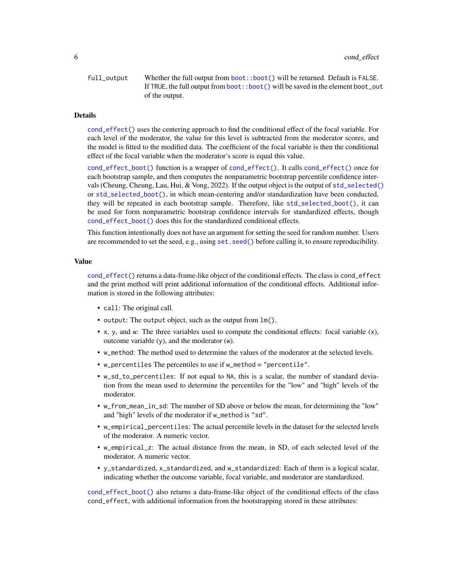<span id="page-5-0"></span>full\_output Whether the full output from [boot::boot\(\)](#page-0-0) will be returned. Default is FALSE. If TRUE, the full output from [boot::boot\(\)](#page-0-0) will be saved in the element boot\_out of the output.

#### Details

[cond\\_effect\(\)](#page-3-1) uses the centering approach to find the conditional effect of the focal variable. For each level of the moderator, the value for this level is subtracted from the moderator scores, and the model is fitted to the modified data. The coefficient of the focal variable is then the conditional effect of the focal variable when the moderator's score is equal this value.

[cond\\_effect\\_boot\(\)](#page-3-2) function is a wrapper of [cond\\_effect\(\)](#page-3-1). It calls [cond\\_effect\(\)](#page-3-1) once for each bootstrap sample, and then computes the nonparametric bootstrap percentile confidence intervals (Cheung, Cheung, Lau, Hui, & Vong, 2022). If the output object is the output of [std\\_selected\(\)](#page-23-1) or [std\\_selected\\_boot\(\)](#page-23-2), in which mean-centering and/or standardization have been conducted, they will be repeated in each bootstrap sample. Therefore, like [std\\_selected\\_boot\(\)](#page-23-2), it can be used for form nonparametric bootstrap confidence intervals for standardized effects, though [cond\\_effect\\_boot\(\)](#page-3-2) does this for the standardized conditional effects.

This function intentionally does not have an argument for setting the seed for random number. Users are recommended to set the seed, e.g., using [set.seed\(\)](#page-0-0) before calling it, to ensure reproducibility.

#### Value

[cond\\_effect\(\)](#page-3-1) returns a data-frame-like object of the conditional effects. The class is cond\_effect and the print method will print additional information of the conditional effects. Additional information is stored in the following attributes:

- call: The original call.
- output: The output object, such as the output from lm().
- x, y, and w: The three variables used to compute the conditional effects: focal variable (x), outcome variable (y), and the moderator (w).
- w\_method: The method used to determine the values of the moderator at the selected levels.
- w\_percentiles The percentiles to use if w\_method = "percentile".
- w\_sd\_to\_percentiles: If not equal to NA, this is a scalar, the number of standard deviation from the mean used to determine the percentiles for the "low" and "high" levels of the moderator.
- w\_from\_mean\_in\_sd: The number of SD above or below the mean, for determining the "low" and "high" levels of the moderator if w\_method is "sd".
- w\_empirical\_percentiles: The actual percentile levels in the dataset for the selected levels of the moderator. A numeric vector.
- w\_empirical\_z: The actual distance from the mean, in SD, of each selected level of the moderator. A numeric vector.
- y\_standardized, x\_standardized, and w\_standardized: Each of them is a logical scalar, indicating whether the outcome variable, focal variable, and moderator are standardized.

[cond\\_effect\\_boot\(\)](#page-3-2) also returns a data-frame-like object of the conditional effects of the class cond\_effect, with additional information from the bootstrapping stored in these attributes: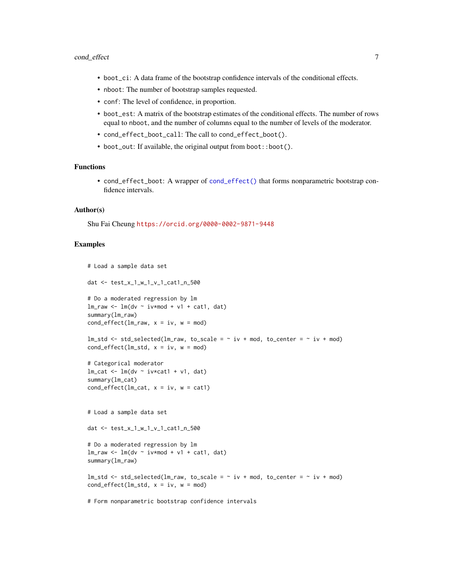- <span id="page-6-0"></span>• boot\_ci: A data frame of the bootstrap confidence intervals of the conditional effects.
- nboot: The number of bootstrap samples requested.
- conf: The level of confidence, in proportion.
- boot\_est: A matrix of the bootstrap estimates of the conditional effects. The number of rows equal to nboot, and the number of columns equal to the number of levels of the moderator.
- cond\_effect\_boot\_call: The call to cond\_effect\_boot().
- boot\_out: If available, the original output from boot::boot().

### Functions

• cond\_effect\_boot: A wrapper of [cond\\_effect\(\)](#page-3-1) that forms nonparametric bootstrap confidence intervals.

#### Author(s)

Shu Fai Cheung <https://orcid.org/0000-0002-9871-9448>

```
# Load a sample data set
dat <- test_x_1_w_1_v_1_cat1_n_500
# Do a moderated regression by lm
lmraw <- lm(dv ~ iv*mod + v1 + cat1, dat)
summary(lm_raw)
cond_effect(lm_raw, x = iv, w = mod)lm\_std \leftarrow std\_selected(lm\_raw, to\_scale = ~ iv + mod, to\_center = ~ iv + mod)cond\_effect(lm\_std, x = iv, w = mod)# Categorical moderator
lm\_cat \leftarrow lm(dv \sim iv * cat1 + v1, dat)summary(lm_cat)
cond_effect(lm\_cat, x = iv, w = cat1)
# Load a sample data set
dat <- test_x_1_w_1_v_1_cat1_n_500
# Do a moderated regression by lm
lm_raw <- lm(dv ~ iv*mod + v1 + cat1, dat)
summary(lm_raw)
lm\_std \leftarrow std\_selected(lm\_raw, to\_scale = ~ iv + mod, to\_center = ~ iv + mod)cond\_effect(\text{lm\_std}, x = iv, w = mod)# Form nonparametric bootstrap confidence intervals
```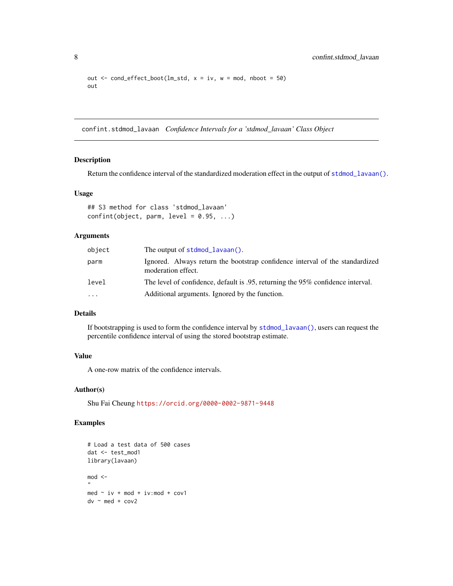```
out \le cond_effect_boot(lm_std, x = iv, w = mod, nboot = 50)
out
```
confint.stdmod\_lavaan *Confidence Intervals for a 'stdmod\_lavaan' Class Object*

### Description

Return the confidence interval of the standardized moderation effect in the output of [stdmod\\_lavaan\(\)](#page-21-1).

#### Usage

```
## S3 method for class 'stdmod_lavaan'
confint(object, parm, level = 0.95, ...)
```
### Arguments

| object | The output of $stdmod\_lavaan()$ .                                                                 |
|--------|----------------------------------------------------------------------------------------------------|
| parm   | Ignored. Always return the bootstrap confidence interval of the standardized<br>moderation effect. |
| level  | The level of confidence, default is .95, returning the 95% confidence interval.                    |
| .      | Additional arguments. Ignored by the function.                                                     |

### Details

If bootstrapping is used to form the confidence interval by [stdmod\\_lavaan\(\)](#page-21-1), users can request the percentile confidence interval of using the stored bootstrap estimate.

### Value

A one-row matrix of the confidence intervals.

#### Author(s)

Shu Fai Cheung <https://orcid.org/0000-0002-9871-9448>

```
# Load a test data of 500 cases
dat <- test_mod1
library(lavaan)
mod < -"
med \sim iv + mod + iv:mod + cov1
dv \sim med + cov2
```
<span id="page-7-0"></span>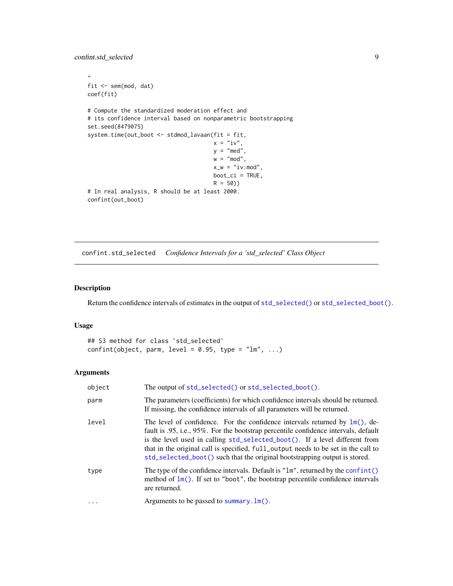```
\mathbf{u}fit <- sem(mod, dat)
coef(fit)
# Compute the standardized moderation effect and
# its confidence interval based on nonparametric bootstrapping
set.seed(8479075)
system.time(out_boot <- stdmod_lavaan(fit = fit,
                                      x = "iv",y = "med",w = "mod",
                                       x_w = "iv:mod",boot_ci = TRUE,
                                       R = 50)# In real analysis, R should be at least 2000.
confint(out_boot)
```
confint.std\_selected *Confidence Intervals for a 'std\_selected' Class Object*

### Description

Return the confidence intervals of estimates in the output of [std\\_selected\(\)](#page-23-1) or [std\\_selected\\_boot\(\)](#page-23-2).

#### Usage

```
## S3 method for class 'std_selected'
confint(object, parm, level = 0.95, type = "lm", ...)
```
### Arguments

| object | The output of std_selected() or std_selected_boot().                                                                                                                                                                                                                                                                                                                                                                                 |
|--------|--------------------------------------------------------------------------------------------------------------------------------------------------------------------------------------------------------------------------------------------------------------------------------------------------------------------------------------------------------------------------------------------------------------------------------------|
| parm   | The parameters (coefficients) for which confidence intervals should be returned.<br>If missing, the confidence intervals of all parameters will be returned.                                                                                                                                                                                                                                                                         |
| level  | The level of confidence. For the confidence intervals returned by $\text{Im}(\cdot)$ , de-<br>fault is .95, i.e., 95%. For the bootstrap percentile confidence intervals, default<br>is the level used in calling std_selected_boot(). If a level different from<br>that in the original call is specified, full_output needs to be set in the call to<br>std_selected_boot() such that the original bootstrapping output is stored. |
| type   | The type of the confidence intervals. Default is "1m", returned by the confint()<br>method of $lm()$ . If set to "boot", the bootstrap percentile confidence intervals<br>are returned.                                                                                                                                                                                                                                              |
| .      | Arguments to be passed to summary. lm().                                                                                                                                                                                                                                                                                                                                                                                             |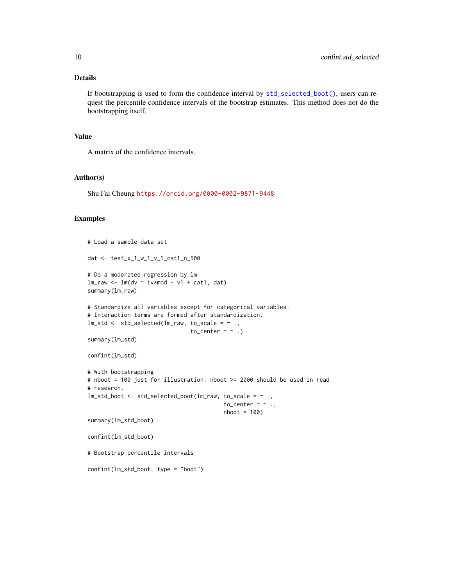### Details

If bootstrapping is used to form the confidence interval by [std\\_selected\\_boot\(\)](#page-23-2), users can request the percentile confidence intervals of the bootstrap estimates. This method does not do the bootstrapping itself.

#### Value

A matrix of the confidence intervals.

#### Author(s)

Shu Fai Cheung <https://orcid.org/0000-0002-9871-9448>

```
# Load a sample data set
dat <- test_x_1_w_1_v_1_cat1_n_500
# Do a moderated regression by lm
lm_raw <- lm(dv ~ iv*mod + v1 + cat1, dat)
summary(lm_raw)
# Standardize all variables except for categorical variables.
# Interaction terms are formed after standardization.
lm\_std \leftarrow std\_selected(lm\_raw, to\_scale = ~ . ,to_center = \sim .)
summary(lm_std)
confint(lm_std)
# With bootstrapping
# nboot = 100 just for illustration. nboot >= 2000 should be used in read
# research.
lm_std_boot <- std_selected_boot(lm_raw, to_scale = ~ .,
                                          to_center = \sim .,
                                          nboot = 100summary(lm_std_boot)
confint(lm_std_boot)
# Bootstrap percentile intervals
confint(lm_std_boot, type = "boot")
```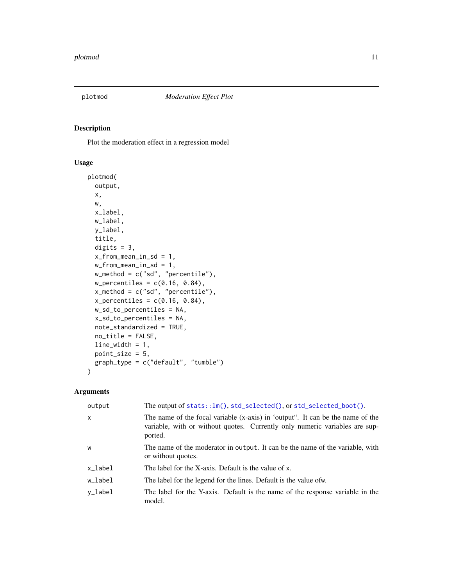<span id="page-10-0"></span>

#### Description

Plot the moderation effect in a regression model

### Usage

```
plotmod(
 output,
  x,
 w,
  x_label,
 w_label,
 y_label,
  title,
  digits = 3,
  x_from_mean_in_sd = 1,
 w_from_mean_in_sd = 1,
 w_method = c("sd", "percentile"),
 w_{\text{percentiles}} = c(0.16, 0.84),x_method = c("sd", "percentile"),
  x_{\text{percentiles}} = c(0.16, 0.84),w_sd_to_percentiles = NA,
  x_sd_to_percentiles = NA,
  note_standardized = TRUE,
  no_title = FALSE,
  line_width = 1,
 point_size = 5,
  graph_type = c("default", "tumble")
\mathcal{L}
```
### Arguments

| output       | The output of $stats::lm()$ , $std\_selected()$ , or $std\_selected\_boot()$ .                                                                                           |
|--------------|--------------------------------------------------------------------------------------------------------------------------------------------------------------------------|
| $\mathsf{x}$ | The name of the focal variable (x-axis) in 'output". It can be the name of the<br>variable, with or without quotes. Currently only numeric variables are sup-<br>ported. |
| W            | The name of the moderator in output. It can be the name of the variable, with<br>or without quotes.                                                                      |
| x_label      | The label for the X-axis. Default is the value of x.                                                                                                                     |
| w_label      | The label for the legend for the lines. Default is the value of w.                                                                                                       |
| v_label      | The label for the Y-axis. Default is the name of the response variable in the<br>model.                                                                                  |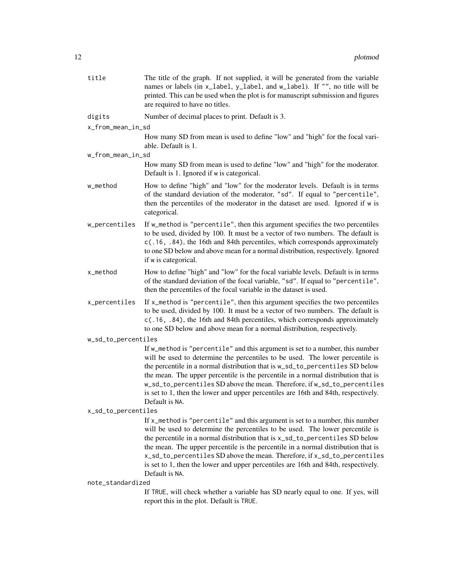| title               | The title of the graph. If not supplied, it will be generated from the variable<br>names or labels (in x_label, y_label, and w_label). If "", no title will be<br>printed. This can be used when the plot is for manuscript submission and figures<br>are required to have no titles.                                                                                                                                                                                                                                   |  |
|---------------------|-------------------------------------------------------------------------------------------------------------------------------------------------------------------------------------------------------------------------------------------------------------------------------------------------------------------------------------------------------------------------------------------------------------------------------------------------------------------------------------------------------------------------|--|
| digits              | Number of decimal places to print. Default is 3.                                                                                                                                                                                                                                                                                                                                                                                                                                                                        |  |
| x_from_mean_in_sd   |                                                                                                                                                                                                                                                                                                                                                                                                                                                                                                                         |  |
|                     | How many SD from mean is used to define "low" and "high" for the focal vari-<br>able. Default is 1.                                                                                                                                                                                                                                                                                                                                                                                                                     |  |
| w_from_mean_in_sd   |                                                                                                                                                                                                                                                                                                                                                                                                                                                                                                                         |  |
|                     | How many SD from mean is used to define "low" and "high" for the moderator.<br>Default is 1. Ignored if w is categorical.                                                                                                                                                                                                                                                                                                                                                                                               |  |
| w_method            | How to define "high" and "low" for the moderator levels. Default is in terms<br>of the standard deviation of the moderator, "sd". If equal to "percentile",<br>then the percentiles of the moderator in the dataset are used. Ignored if w is<br>categorical.                                                                                                                                                                                                                                                           |  |
| w_percentiles       | If w_method is "percentile", then this argument specifies the two percentiles<br>to be used, divided by 100. It must be a vector of two numbers. The default is<br>c(.16, .84), the 16th and 84th percentiles, which corresponds approximately<br>to one SD below and above mean for a normal distribution, respectively. Ignored<br>if w is categorical.                                                                                                                                                               |  |
| x_method            | How to define "high" and "low" for the focal variable levels. Default is in terms<br>of the standard deviation of the focal variable, "sd". If equal to "percentile",<br>then the percentiles of the focal variable in the dataset is used.                                                                                                                                                                                                                                                                             |  |
| x_percentiles       | If x_method is "percentile", then this argument specifies the two percentiles<br>to be used, divided by 100. It must be a vector of two numbers. The default is<br>c(.16, .84), the 16th and 84th percentiles, which corresponds approximately<br>to one SD below and above mean for a normal distribution, respectively.                                                                                                                                                                                               |  |
| w_sd_to_percentiles |                                                                                                                                                                                                                                                                                                                                                                                                                                                                                                                         |  |
|                     | If w_method is "percentile" and this argument is set to a number, this number<br>will be used to determine the percentiles to be used. The lower percentile is<br>the percentile in a normal distribution that is w_sd_to_percentiles SD below<br>the mean. The upper percentile is the percentile in a normal distribution that is<br>w_sd_to_percentiles SD above the mean. Therefore, if w_sd_to_percentiles<br>is set to 1, then the lower and upper percentiles are 16th and 84th, respectively.<br>Default is NA. |  |
| x_sd_to_percentiles |                                                                                                                                                                                                                                                                                                                                                                                                                                                                                                                         |  |
|                     | If x_method is "percentile" and this argument is set to a number, this number<br>will be used to determine the percentiles to be used. The lower percentile is<br>the percentile in a normal distribution that is x_sd_to_percentiles SD below<br>the mean. The upper percentile is the percentile in a normal distribution that is<br>x_sd_to_percentiles SD above the mean. Therefore, if x_sd_to_percentiles<br>is set to 1, then the lower and upper percentiles are 16th and 84th, respectively.<br>Default is NA. |  |
| note_standardized   |                                                                                                                                                                                                                                                                                                                                                                                                                                                                                                                         |  |
|                     | If TRUE, will check whether a variable has SD nearly equal to one. If yes, will<br>report this in the plot. Default is TRUE.                                                                                                                                                                                                                                                                                                                                                                                            |  |
|                     |                                                                                                                                                                                                                                                                                                                                                                                                                                                                                                                         |  |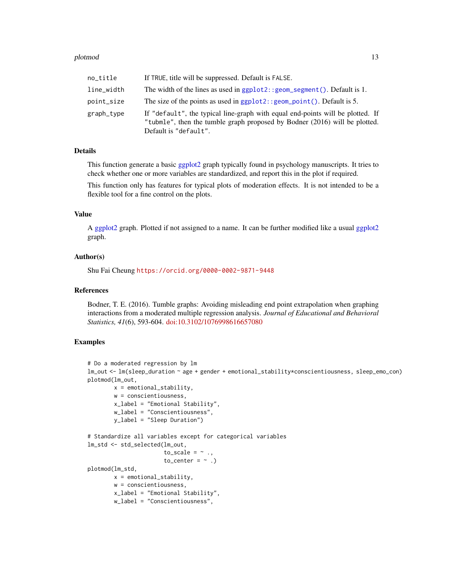#### <span id="page-12-0"></span>plotmod and the set of the set of the set of the set of the set of the set of the set of the set of the set of the set of the set of the set of the set of the set of the set of the set of the set of the set of the set of t

| no_title   | If TRUE, title will be suppressed. Default is FALSE.                                                                                                                                  |
|------------|---------------------------------------------------------------------------------------------------------------------------------------------------------------------------------------|
| line_width | The width of the lines as used in $ggplot2$ : : $geom$ segment (). Default is 1.                                                                                                      |
| point_size | The size of the points as used in $ggplot2$ : : $geom\_point()$ . Default is 5.                                                                                                       |
| graph_type | If "default", the typical line-graph with equal end-points will be plotted. If<br>"tubmle", then the tumble graph proposed by Bodner (2016) will be plotted.<br>Default is "default". |

### Details

This function generate a basic [ggplot2](#page-0-0) graph typically found in psychology manuscripts. It tries to check whether one or more variables are standardized, and report this in the plot if required.

This function only has features for typical plots of moderation effects. It is not intended to be a flexible tool for a fine control on the plots.

#### Value

A [ggplot2](#page-0-0) graph. Plotted if not assigned to a name. It can be further modified like a usual [ggplot2](#page-0-0) graph.

### Author(s)

Shu Fai Cheung <https://orcid.org/0000-0002-9871-9448>

#### References

Bodner, T. E. (2016). Tumble graphs: Avoiding misleading end point extrapolation when graphing interactions from a moderated multiple regression analysis. *Journal of Educational and Behavioral Statistics, 41*(6), 593-604. [doi:10.3102/1076998616657080](https://doi.org/10.3102/1076998616657080)

```
# Do a moderated regression by lm
lm_out <- lm(sleep_duration ~ age + gender + emotional_stability*conscientiousness, sleep_emo_con)
plotmod(lm_out,
       x = emotional_stability,
       w = conscientiousness,
       x_label = "Emotional Stability",
        w_label = "Conscientiousness",
       y_label = "Sleep Duration")
# Standardize all variables except for categorical variables
lm_std <- std_selected(lm_out,
                       to_scale = \sim .,
                       to_center = \sim.)
plotmod(lm_std,
       x = emotional_stability,
       w = conscientiousness,
       x_label = "Emotional Stability",
       w_label = "Conscientiousness",
```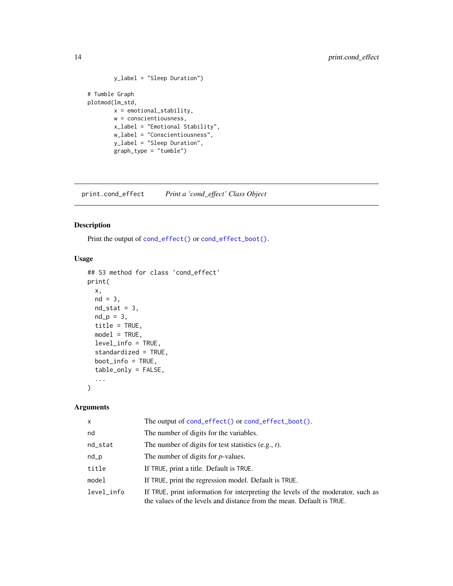```
y_label = "Sleep Duration")
# Tumble Graph
plotmod(lm_std,
       x = emotional_stability,
       w = conscientiousness,
       x_label = "Emotional Stability",
       w_label = "Conscientiousness",
       y_label = "Sleep Duration",
       graph_type = "tumble")
```
print.cond\_effect *Print a 'cond\_effect' Class Object*

### Description

Print the output of [cond\\_effect\(\)](#page-3-1) or [cond\\_effect\\_boot\(\)](#page-3-2).

### Usage

```
## S3 method for class 'cond_effect'
print(
  x,
 nd = 3,
 nd\_stat = 3,
 nd_p = 3,
  title = TRUE,
 model = TRUE,level_info = TRUE,
  standardized = TRUE,
 boot_info = TRUE,
  table_only = FALSE,
  ...
)
```
### Arguments

| $\mathsf{x}$ | The output of cond_effect() or cond_effect_boot().                                                                                                        |
|--------------|-----------------------------------------------------------------------------------------------------------------------------------------------------------|
| nd           | The number of digits for the variables.                                                                                                                   |
| nd_stat      | The number of digits for test statistics $(e.g., t)$ .                                                                                                    |
| nd           | The number of digits for $p$ -values.                                                                                                                     |
| title        | If TRUE, print a title. Default is TRUE.                                                                                                                  |
| model        | If TRUE, print the regression model. Default is TRUE.                                                                                                     |
| level info   | If TRUE, print information for interpreting the levels of the moderator, such as<br>the values of the levels and distance from the mean. Default is TRUE. |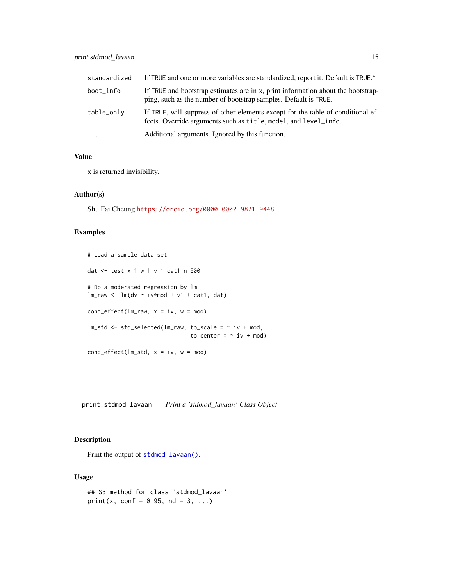### <span id="page-14-0"></span>print.stdmod\_lavaan 15

| standardized | If TRUE and one or more variables are standardized, report it. Default is TRUE.                                                                     |
|--------------|-----------------------------------------------------------------------------------------------------------------------------------------------------|
| boot_info    | If TRUE and bootstrap estimates are in x, print information about the bootstrap-<br>ping, such as the number of bootstrap samples. Default is TRUE. |
| table_only   | If TRUE, will suppress of other elements except for the table of conditional ef-<br>fects. Override arguments such as title, model, and level_info. |
| $\cdot$      | Additional arguments. Ignored by this function.                                                                                                     |

### Value

x is returned invisibility.

#### Author(s)

Shu Fai Cheung <https://orcid.org/0000-0002-9871-9448>

### Examples

```
# Load a sample data set
dat <- test_x_1_w_1_v_1_cat1_n_500
# Do a moderated regression by lm
lm_raw <- lm(dv ~ iv*mod + v1 + cat1, dat)
cond_effect(lm_raw, x = iv, w = mod)lm\_std \leftarrow std\_selected(lm\_raw, to\_scale = ~ iv + mod,to_ccenter = \sim iv + mod)
cond\_effect(lm\_std, x = iv, w = mod)
```
print.stdmod\_lavaan *Print a 'stdmod\_lavaan' Class Object*

### Description

Print the output of [stdmod\\_lavaan\(\)](#page-21-1).

### Usage

```
## S3 method for class 'stdmod_lavaan'
print(x, conf = 0.95, nd = 3, ...)
```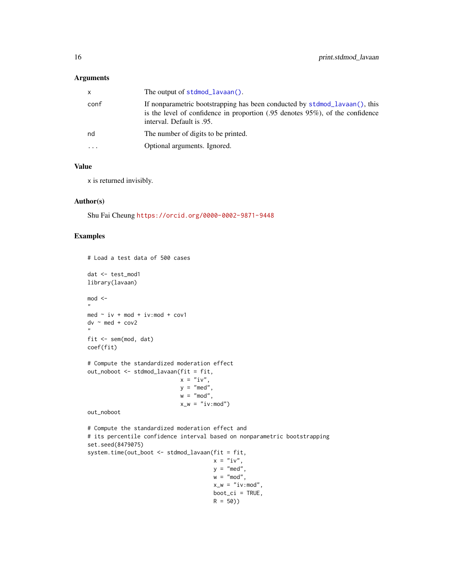### <span id="page-15-0"></span>Arguments

|          | If nonparametric bootstrapping has been conducted by stdmod_lavaan(), this                                              |
|----------|-------------------------------------------------------------------------------------------------------------------------|
| conf     | is the level of confidence in proportion $(.95 \text{ denotes } 95\%)$ , of the confidence<br>interval. Default is .95. |
| nd       | The number of digits to be printed.                                                                                     |
| $\cdots$ | Optional arguments. Ignored.                                                                                            |

### Value

x is returned invisibly.

#### Author(s)

Shu Fai Cheung <https://orcid.org/0000-0002-9871-9448>

```
# Load a test data of 500 cases
dat <- test_mod1
library(lavaan)
mod < -"
med \sim iv + mod + iv:mod + cov1
dv \sim med + cov2
"
fit <- sem(mod, dat)
coef(fit)
# Compute the standardized moderation effect
out_noboot <- stdmod_lavaan(fit = fit,
                            x = "iv",y = "med",w = "mod",x_w = "iv:mod")out_noboot
# Compute the standardized moderation effect and
# its percentile confidence interval based on nonparametric bootstrapping
set.seed(8479075)
system.time(out_boot <- stdmod_lavaan(fit = fit,
                                      x = "iv",y = "med",w = "mod",x_w = "iv:mod",boot_ci = TRUE,
                                      R = 50)
```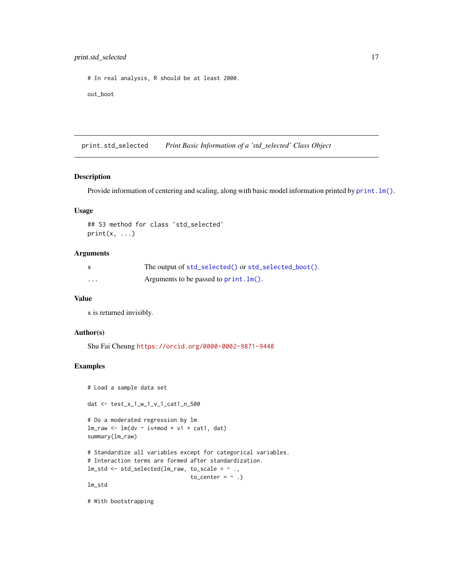<span id="page-16-0"></span># In real analysis, R should be at least 2000.

out\_boot

print.std\_selected *Print Basic Information of a 'std\_selected' Class Object*

### Description

Provide information of centering and scaling, along with basic model information printed by print.  $lm()$ .

#### Usage

```
## S3 method for class 'std_selected'
print(x, \ldots)
```
#### Arguments

|   | The output of std_selected() or std_selected_boot(). |
|---|------------------------------------------------------|
| . | Arguments to be passed to $print.lm()$ .             |

#### Value

x is returned invisibly.

#### Author(s)

Shu Fai Cheung <https://orcid.org/0000-0002-9871-9448>

### Examples

```
# Load a sample data set
dat <- test_x_1_w_1_v_1_cat1_n_500
# Do a moderated regression by lm
lm\_raw \leftarrow lm(dv \sim iv*mod + v1 + cat1, dat)summary(lm_raw)
# Standardize all variables except for categorical variables.
# Interaction terms are formed after standardization.
lm\_std \leftarrow std\_selected(lm\_raw, to\_scale = ~ . ,to_center = \sim.)
lm_std
```
# With bootstrapping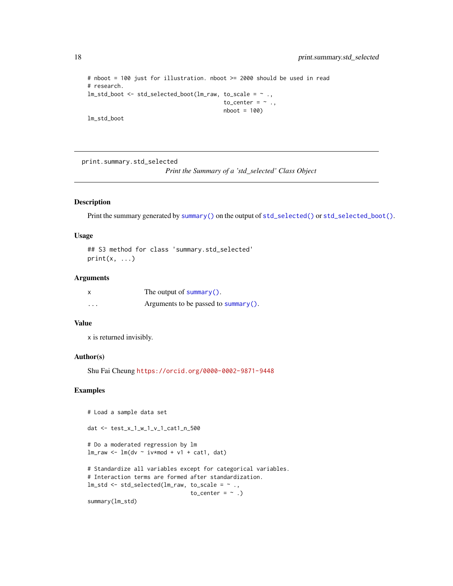```
# nboot = 100 just for illustration. nboot >= 2000 should be used in read
# research.
lm_std_boot <- std_selected_boot(lm_raw, to_scale = ~ .,
                                         to_center = \sim .,
                                         nboot = 100)
lm_std_boot
```
print.summary.std\_selected

*Print the Summary of a 'std\_selected' Class Object*

#### Description

Print the summary generated by [summary\(\)](#page-0-0) on the output of [std\\_selected\(\)](#page-23-1) or [std\\_selected\\_boot\(\)](#page-23-2).

### Usage

## S3 method for class 'summary.std\_selected'  $print(x, \ldots)$ 

#### Arguments

|          | The output of summary().                        |
|----------|-------------------------------------------------|
| $\cdots$ | Arguments to be passed to $\frac{summary()}{$ . |

### Value

x is returned invisibly.

### Author(s)

Shu Fai Cheung <https://orcid.org/0000-0002-9871-9448>

```
# Load a sample data set
dat <- test_x_1_w_1_v_1_cat1_n_500
# Do a moderated regression by lm
lm_{raw} < - lm(dv - iv*mod + v1 + cat1, dat)# Standardize all variables except for categorical variables.
# Interaction terms are formed after standardization.
lm\_std \leftarrow std\_selected(lm\_raw, to\_scale = ~ . ,to_center = \sim.)
summary(lm_std)
```
<span id="page-17-0"></span>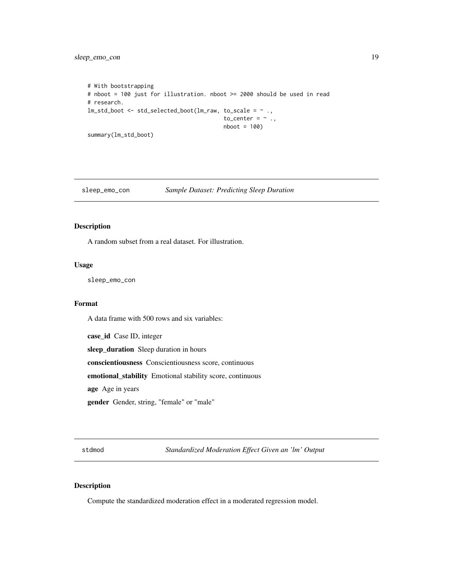<span id="page-18-0"></span>sleep\_emo\_con 19

```
# With bootstrapping
# nboot = 100 just for illustration. nboot >= 2000 should be used in read
# research.
lm\_std\_boot \leftarrow std\_selected\_boot(lm\_raw, to\_scale = ~ . ,to_center = \sim .,
                                            nboot = 100)
summary(lm_std_boot)
```
sleep\_emo\_con *Sample Dataset: Predicting Sleep Duration*

### Description

A random subset from a real dataset. For illustration.

### Usage

sleep\_emo\_con

### Format

A data frame with 500 rows and six variables:

case\_id Case ID, integer sleep\_duration Sleep duration in hours

conscientiousness Conscientiousness score, continuous

emotional\_stability Emotional stability score, continuous

age Age in years

gender Gender, string, "female" or "male"

<span id="page-18-1"></span>stdmod *Standardized Moderation Effect Given an 'lm' Output*

#### <span id="page-18-2"></span>Description

Compute the standardized moderation effect in a moderated regression model.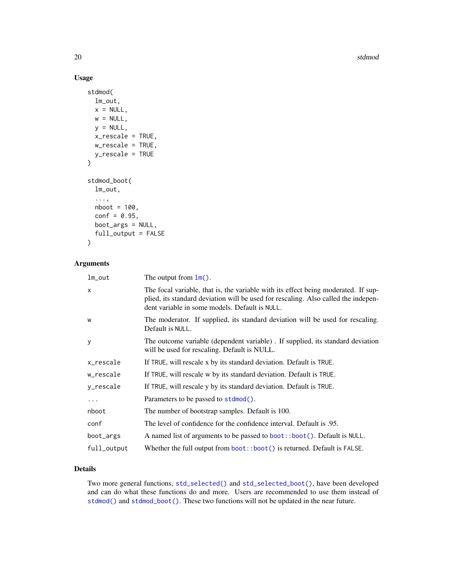20 stdmod states and the states of the states of the states of the states of the states of the states of the states of the states of the states of the states of the states of the states of the states of the states of the s

### Usage

```
stdmod(
  lm_out,
 x = NULL,w = NULL,y = NULL,x_rescale = TRUE,
 w_rescale = TRUE,
 y_rescale = TRUE
)
stdmod_boot(
  lm_out,
  ...,
 nboot = 100,
  conf = 0.95,boot_args = NULL,
  full_output = FALSE
)
```
### Arguments

| lm_out      | The output from $lm()$ .                                                                                                                                                                                                   |
|-------------|----------------------------------------------------------------------------------------------------------------------------------------------------------------------------------------------------------------------------|
| X           | The focal variable, that is, the variable with its effect being moderated. If sup-<br>plied, its standard deviation will be used for rescaling. Also called the indepen-<br>dent variable in some models. Default is NULL. |
| w           | The moderator. If supplied, its standard deviation will be used for rescaling.<br>Default is NULL.                                                                                                                         |
| У           | The outcome variable (dependent variable). If supplied, its standard deviation<br>will be used for rescaling. Default is NULL.                                                                                             |
| x_rescale   | If TRUE, will rescale x by its standard deviation. Default is TRUE.                                                                                                                                                        |
| w_rescale   | If TRUE, will rescale w by its standard deviation. Default is TRUE.                                                                                                                                                        |
| y_rescale   | If TRUE, will rescale y by its standard deviation. Default is TRUE.                                                                                                                                                        |
| $\ddots$    | Parameters to be passed to stdmod().                                                                                                                                                                                       |
| nboot       | The number of bootstrap samples. Default is 100.                                                                                                                                                                           |
| conf        | The level of confidence for the confidence interval. Default is .95.                                                                                                                                                       |
| boot_args   | A named list of arguments to be passed to boot::boot(). Default is NULL.                                                                                                                                                   |
| full_output | Whether the full output from $boot$ : :boot() is returned. Default is FALSE.                                                                                                                                               |
|             |                                                                                                                                                                                                                            |

### Details

Two more general functions, [std\\_selected\(\)](#page-23-1) and [std\\_selected\\_boot\(\)](#page-23-2), have been developed and can do what these functions do and more. Users are recommended to use them instead of [stdmod\(\)](#page-18-1) and [stdmod\\_boot\(\)](#page-18-2). These two functions will not be updated in the near future.

<span id="page-19-0"></span>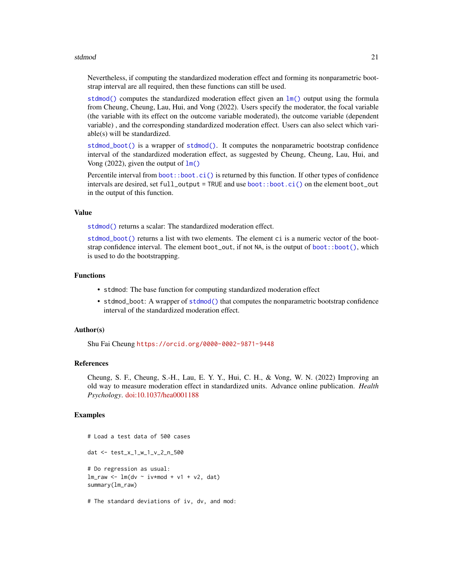#### <span id="page-20-0"></span>stdmod 21

Nevertheless, if computing the standardized moderation effect and forming its nonparametric bootstrap interval are all required, then these functions can still be used.

[stdmod\(\)](#page-18-1) computes the standardized moderation effect given an  $\text{lm}()$  output using the formula from Cheung, Cheung, Lau, Hui, and Vong (2022). Users specify the moderator, the focal variable (the variable with its effect on the outcome variable moderated), the outcome variable (dependent variable) , and the corresponding standardized moderation effect. Users can also select which variable(s) will be standardized.

[stdmod\\_boot\(\)](#page-18-2) is a wrapper of [stdmod\(\)](#page-18-1). It computes the nonparametric bootstrap confidence interval of the standardized moderation effect, as suggested by Cheung, Cheung, Lau, Hui, and Vong (2022), given the output of  $\text{lm}()$ 

Percentile interval from [boot::boot.ci\(\)](#page-0-0) is returned by this function. If other types of confidence intervals are desired, set full\_output = TRUE and use [boot::boot.ci\(\)](#page-0-0) on the element boot\_out in the output of this function.

#### Value

[stdmod\(\)](#page-18-1) returns a scalar: The standardized moderation effect.

[stdmod\\_boot\(\)](#page-18-2) returns a list with two elements. The element ci is a numeric vector of the bootstrap confidence interval. The element boot\_out, if not NA, is the output of [boot::boot\(\)](#page-0-0), which is used to do the bootstrapping.

#### Functions

- stdmod: The base function for computing standardized moderation effect
- stdmod\_boot: A wrapper of [stdmod\(\)](#page-18-1) that computes the nonparametric bootstrap confidence interval of the standardized moderation effect.

#### Author(s)

Shu Fai Cheung <https://orcid.org/0000-0002-9871-9448>

#### References

Cheung, S. F., Cheung, S.-H., Lau, E. Y. Y., Hui, C. H., & Vong, W. N. (2022) Improving an old way to measure moderation effect in standardized units. Advance online publication. *Health Psychology*. [doi:10.1037/hea0001188](https://doi.org/10.1037/hea0001188)

#### Examples

# Load a test data of 500 cases dat <- test\_x\_1\_w\_1\_v\_2\_n\_500 # Do regression as usual:  $lm$ \_raw <-  $lm$ (dv ~ iv\*mod + v1 + v2, dat) summary(lm\_raw)

# The standard deviations of iv, dv, and mod: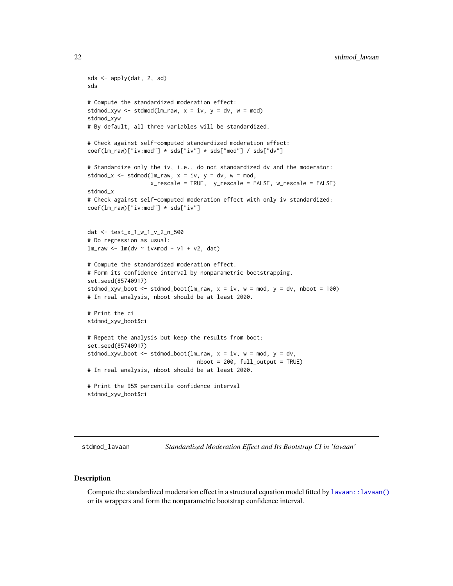```
sds <- apply(dat, 2, sd)
sds
# Compute the standardized moderation effect:
stdmod_xyw <- stdmod(lm\_raw, x = iv, y = dv, w = mod)
stdmod_xyw
# By default, all three variables will be standardized.
# Check against self-computed standardized moderation effect:
coef(lm_raw)["iv:mod"] * sds["iv"] * sds["mod"] / sds["dv"]
# Standardize only the iv, i.e., do not standardized dv and the moderator:
stdmod_x <- stdmod(lm_raw, x = iv, y = dv, w = mod,
                   x_rescale = TRUE, y_rescale = FALSE, w_rescale = FALSE)
stdmod_x
# Check against self-computed moderation effect with only iv standardized:
coef(lm_raw)["iv:mod"] * sds["iv"]
dat <- test_x_1_w_1_v_2_n_500
# Do regression as usual:
lm<sup>-mu</sup> <- lm(dv ~ iv*mod + v1 + v2, dat)
# Compute the standardized moderation effect.
# Form its confidence interval by nonparametric bootstrapping.
set.seed(85740917)
stdmod_xyw_boot <- stdmod_boot(lm\_raw, x = iv, w = mod, y = dv, nboot = 100)
# In real analysis, nboot should be at least 2000.
# Print the ci
stdmod_xyw_boot$ci
# Repeat the analysis but keep the results from boot:
set.seed(85740917)
stdmod_xyw_boot <- stdmod_boot(lm_raw, x = iv, w = mod, y = dv,
                                 nboot = 200, full_output = TRUE)
# In real analysis, nboot should be at least 2000.
# Print the 95% percentile confidence interval
stdmod_xyw_boot$ci
```
<span id="page-21-1"></span>stdmod\_lavaan *Standardized Moderation Effect and Its Bootstrap CI in 'lavaan'*

#### Description

Compute the standardized moderation effect in a structural equation model fitted by [lavaan::lavaan\(\)](#page-0-0) or its wrappers and form the nonparametric bootstrap confidence interval.

<span id="page-21-0"></span>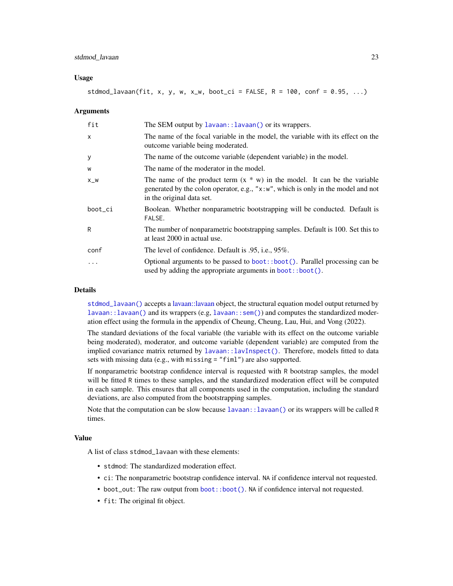#### <span id="page-22-0"></span>Usage

stdmod\_lavaan(fit, x, y, w, x\_w, boot\_ci = FALSE,  $R = 100$ , conf = 0.95, ...)

#### Arguments

| fit      | The SEM output by lavaan: : lavaan() or its wrappers.                                                                                                                                        |
|----------|----------------------------------------------------------------------------------------------------------------------------------------------------------------------------------------------|
| $\times$ | The name of the focal variable in the model, the variable with its effect on the<br>outcome variable being moderated.                                                                        |
| У        | The name of the outcome variable (dependent variable) in the model.                                                                                                                          |
| W        | The name of the moderator in the model.                                                                                                                                                      |
| $X_{W}$  | The name of the product term $(x * w)$ in the model. It can be the variable<br>generated by the colon operator, e.g., "x:w", which is only in the model and not<br>in the original data set. |
| boot_ci  | Boolean. Whether nonparametric bootstrapping will be conducted. Default is<br>FALSE.                                                                                                         |
| R        | The number of nonparametric bootstrapping samples. Default is 100. Set this to<br>at least 2000 in actual use.                                                                               |
| conf     | The level of confidence. Default is .95, i.e., 95%.                                                                                                                                          |
| .        | Optional arguments to be passed to boot::boot(). Parallel processing can be<br>used by adding the appropriate arguments in boot::boot().                                                     |

### Details

[stdmod\\_lavaan\(\)](#page-21-1) accepts a [lavaan::lavaan](#page-0-0) object, the structural equation model output returned by [lavaan::lavaan\(\)](#page-0-0) and its wrappers (e.g, [lavaan::sem\(\)](#page-0-0)) and computes the standardized moderation effect using the formula in the appendix of Cheung, Cheung, Lau, Hui, and Vong (2022).

The standard deviations of the focal variable (the variable with its effect on the outcome variable being moderated), moderator, and outcome variable (dependent variable) are computed from the implied covariance matrix returned by [lavaan::lavInspect\(\)](#page-0-0). Therefore, models fitted to data sets with missing data (e.g., with missing = "fiml") are also supported.

If nonparametric bootstrap confidence interval is requested with R bootstrap samples, the model will be fitted R times to these samples, and the standardized moderation effect will be computed in each sample. This ensures that all components used in the computation, including the standard deviations, are also computed from the bootstrapping samples.

Note that the computation can be slow because [lavaan::lavaan\(\)](#page-0-0) or its wrappers will be called R times.

#### Value

A list of class stdmod\_lavaan with these elements:

- stdmod: The standardized moderation effect.
- ci: The nonparametric bootstrap confidence interval. NA if confidence interval not requested.
- boot\_out: The raw output from [boot::boot\(\)](#page-0-0). NA if confidence interval not requested.
- fit: The original fit object.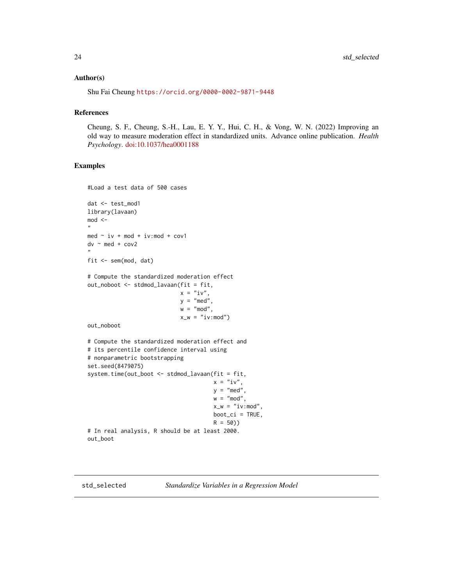#### <span id="page-23-0"></span>Author(s)

Shu Fai Cheung <https://orcid.org/0000-0002-9871-9448>

#### References

Cheung, S. F., Cheung, S.-H., Lau, E. Y. Y., Hui, C. H., & Vong, W. N. (2022) Improving an old way to measure moderation effect in standardized units. Advance online publication. *Health Psychology*. [doi:10.1037/hea0001188](https://doi.org/10.1037/hea0001188)

#### Examples

#Load a test data of 500 cases

```
dat <- test_mod1
library(lavaan)
mod <-
"
med \sim iv + mod + iv:mod + cov1
dv ~ med + cov2
"
fit <- sem(mod, dat)
# Compute the standardized moderation effect
out_noboot <- stdmod_lavaan(fit = fit,
                            x = "iv",y = "med",
                            w = "mod",
                            x_w = "iv:mod")out_noboot
# Compute the standardized moderation effect and
# its percentile confidence interval using
# nonparametric bootstrapping
set.seed(8479075)
system.time(out_boot <- stdmod_lavaan(fit = fit,
                                      x = "iv",y = "med",
                                      w = "mod",
                                      x_w = "iv:mod"boot_ci = TRUE,
                                      R = 50)# In real analysis, R should be at least 2000.
out_boot
```
<span id="page-23-2"></span>

<span id="page-23-1"></span>std\_selected *Standardize Variables in a Regression Model*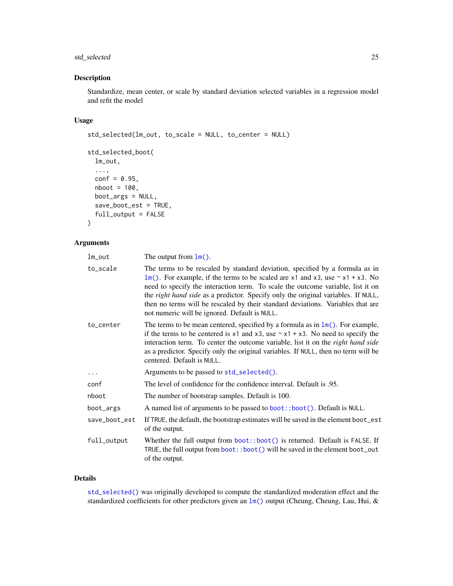### <span id="page-24-0"></span>std\_selected 25

### Description

Standardize, mean center, or scale by standard deviation selected variables in a regression model and refit the model

### Usage

```
std_selected(lm_out, to_scale = NULL, to_center = NULL)
std_selected_boot(
 lm_out,
  ...,
 conf = 0.95,nboot = 100,boot_args = NULL,
 save_boot_est = TRUE,
 full_output = FALSE
)
```
### Arguments

| lm_out        | The output from $lm()$ .                                                                                                                                                                                                                                                                                                                                                                                                                                                           |
|---------------|------------------------------------------------------------------------------------------------------------------------------------------------------------------------------------------------------------------------------------------------------------------------------------------------------------------------------------------------------------------------------------------------------------------------------------------------------------------------------------|
| to_scale      | The terms to be rescaled by standard deviation, specified by a formula as in<br>$lm()$ . For example, if the terms to be scaled are x1 and x3, use $\sim x1 + x3$ . No<br>need to specify the interaction term. To scale the outcome variable, list it on<br>the right hand side as a predictor. Specify only the original variables. If NULL,<br>then no terms will be rescaled by their standard deviations. Variables that are<br>not numeric will be ignored. Default is NULL. |
| to_center     | The terms to be mean centered, specified by a formula as in $\text{Im}()$ . For example,<br>if the terms to be centered is $x1$ and $x3$ , use $\sim x1 + x3$ . No need to specify the<br>interaction term. To center the outcome variable, list it on the right hand side<br>as a predictor. Specify only the original variables. If NULL, then no term will be<br>centered. Default is NULL.                                                                                     |
| $\ddots$      | Arguments to be passed to std_selected().                                                                                                                                                                                                                                                                                                                                                                                                                                          |
| conf          | The level of confidence for the confidence interval. Default is 0.95.                                                                                                                                                                                                                                                                                                                                                                                                              |
| nboot         | The number of bootstrap samples. Default is 100.                                                                                                                                                                                                                                                                                                                                                                                                                                   |
| boot_args     | A named list of arguments to be passed to boot::boot(). Default is NULL.                                                                                                                                                                                                                                                                                                                                                                                                           |
| save_boot_est | If TRUE, the default, the bootstrap estimates will be saved in the element boot_est<br>of the output.                                                                                                                                                                                                                                                                                                                                                                              |
| full_output   | Whether the full output from $boot$ : boot() is returned. Default is FALSE. If<br>TRUE, the full output from boot: : boot () will be saved in the element boot_out<br>of the output.                                                                                                                                                                                                                                                                                               |

### Details

[std\\_selected\(\)](#page-23-1) was originally developed to compute the standardized moderation effect and the standardized coefficients for other predictors given an  $lm()$  output (Cheung, Cheung, Lau, Hui, &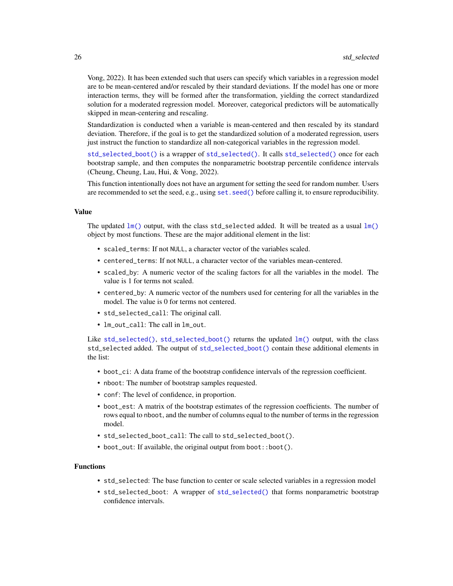<span id="page-25-0"></span>Vong, 2022). It has been extended such that users can specify which variables in a regression model are to be mean-centered and/or rescaled by their standard deviations. If the model has one or more interaction terms, they will be formed after the transformation, yielding the correct standardized solution for a moderated regression model. Moreover, categorical predictors will be automatically skipped in mean-centering and rescaling.

Standardization is conducted when a variable is mean-centered and then rescaled by its standard deviation. Therefore, if the goal is to get the standardized solution of a moderated regression, users just instruct the function to standardize all non-categorical variables in the regression model.

[std\\_selected\\_boot\(\)](#page-23-2) is a wrapper of [std\\_selected\(\)](#page-23-1). It calls [std\\_selected\(\)](#page-23-1) once for each bootstrap sample, and then computes the nonparametric bootstrap percentile confidence intervals (Cheung, Cheung, Lau, Hui, & Vong, 2022).

This function intentionally does not have an argument for setting the seed for random number. Users are recommended to set the seed, e.g., using set. seed() before calling it, to ensure reproducibility.

### Value

The updated  $lm()$  output, with the class std\_selected added. It will be treated as a usual  $lm()$ object by most functions. These are the major additional element in the list:

- scaled\_terms: If not NULL, a character vector of the variables scaled.
- centered\_terms: If not NULL, a character vector of the variables mean-centered.
- scaled\_by: A numeric vector of the scaling factors for all the variables in the model. The value is 1 for terms not scaled.
- centered\_by: A numeric vector of the numbers used for centering for all the variables in the model. The value is 0 for terms not centered.
- std\_selected\_call: The original call.
- lm\_out\_call: The call in lm\_out.

Like [std\\_selected\(\)](#page-23-1), [std\\_selected\\_boot\(\)](#page-23-2) returns the updated  $lm()$  output, with the class std\_selected added. The output of [std\\_selected\\_boot\(\)](#page-23-2) contain these additional elements in the list:

- boot\_ci: A data frame of the bootstrap confidence intervals of the regression coefficient.
- nboot: The number of bootstrap samples requested.
- conf: The level of confidence, in proportion.
- boot\_est: A matrix of the bootstrap estimates of the regression coefficients. The number of rows equal to nboot, and the number of columns equal to the number of terms in the regression model.
- std\_selected\_boot\_call: The call to std\_selected\_boot().
- boot\_out: If available, the original output from boot::boot().

#### Functions

- std\_selected: The base function to center or scale selected variables in a regression model
- std\_selected\_boot: A wrapper of [std\\_selected\(\)](#page-23-1) that forms nonparametric bootstrap confidence intervals.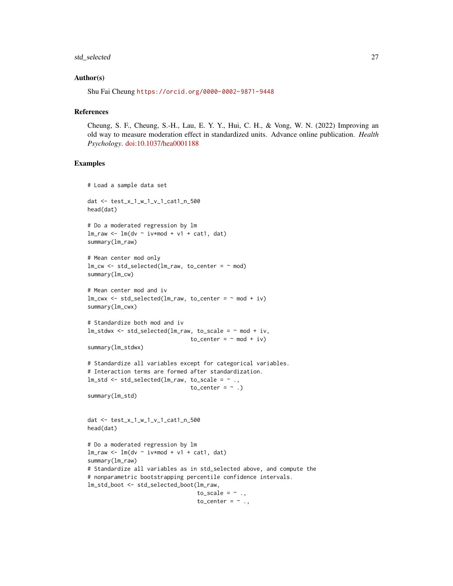### std\_selected 27

#### Author(s)

Shu Fai Cheung <https://orcid.org/0000-0002-9871-9448>

#### References

Cheung, S. F., Cheung, S.-H., Lau, E. Y. Y., Hui, C. H., & Vong, W. N. (2022) Improving an old way to measure moderation effect in standardized units. Advance online publication. *Health Psychology*. [doi:10.1037/hea0001188](https://doi.org/10.1037/hea0001188)

```
# Load a sample data set
dat <- test_x_1_w_1_v_1_cat1_n_500
head(dat)
# Do a moderated regression by lm
lm_raw <- lm(dv ~ iv*mod + v1 + cat1, dat)
summary(lm_raw)
# Mean center mod only
lm_cw \leftarrow std\_selected(lm_raw, to_center = ~mod)summary(lm_cw)
# Mean center mod and iv
lm_cwx \leq std\_selected(lm_raw, to_center = ~ mod + iv)summary(lm_cwx)
# Standardize both mod and iv
lm\_stdwx <- std_selected(lm\_raw, to_scale = \sim mod + iv,
                                 to_c center = ~\sim mod + iv)
summary(lm_stdwx)
# Standardize all variables except for categorical variables.
# Interaction terms are formed after standardization.
lm\_std \leftarrow std\_selected(lm\_raw, to\_scale = ~ . ,to_center = \sim .)
summary(lm_std)
dat <- test_x_1_w_1_v_1_cat1_n_500
head(dat)
# Do a moderated regression by lm
lm\_raw \leftarrow lm(dv \sim iv*mod + v1 + cat1, dat)summary(lm_raw)
# Standardize all variables as in std_selected above, and compute the
# nonparametric bootstrapping percentile confidence intervals.
lm_std_boot <- std_selected_boot(lm_raw,
                                   to_scale = \sim .,
                                   to_center = \sim .,
```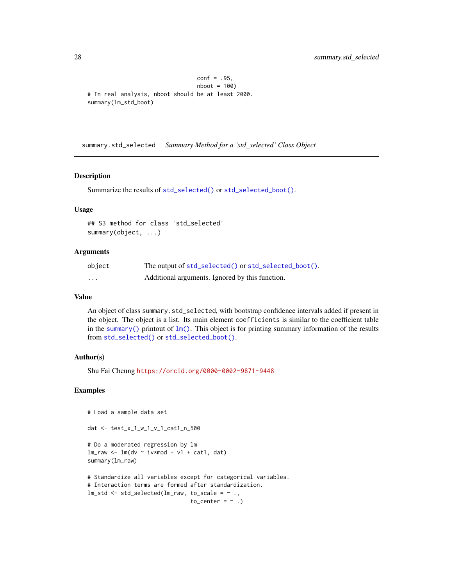```
conf = .95,
                                nboot = 100# In real analysis, nboot should be at least 2000.
summary(lm_std_boot)
```
summary.std\_selected *Summary Method for a 'std\_selected' Class Object*

#### Description

Summarize the results of [std\\_selected\(\)](#page-23-1) or [std\\_selected\\_boot\(\)](#page-23-2).

#### Usage

## S3 method for class 'std\_selected' summary(object, ...)

#### Arguments

| object            | The output of std_selected() or std_selected_boot(). |
|-------------------|------------------------------------------------------|
| $\cdot\cdot\cdot$ | Additional arguments. Ignored by this function.      |

### Value

An object of class summary.std\_selected, with bootstrap confidence intervals added if present in the object. The object is a list. Its main element coefficients is similar to the coefficient table in the [summary\(\)](#page-0-0) printout of  $lm()$ . This object is for printing summary information of the results from [std\\_selected\(\)](#page-23-1) or [std\\_selected\\_boot\(\)](#page-23-2).

### Author(s)

Shu Fai Cheung <https://orcid.org/0000-0002-9871-9448>

```
# Load a sample data set
dat <- test_x_1_w_1_v_1_cat1_n_500
# Do a moderated regression by lm
lm_raw <- lm(dv ~ iv*mod + v1 + cat1, dat)
summary(lm_raw)
# Standardize all variables except for categorical variables.
# Interaction terms are formed after standardization.
lm\_std \leftarrow std\_selected(lm\_raw, to\_scale = ~ . ,to_center = \sim.)
```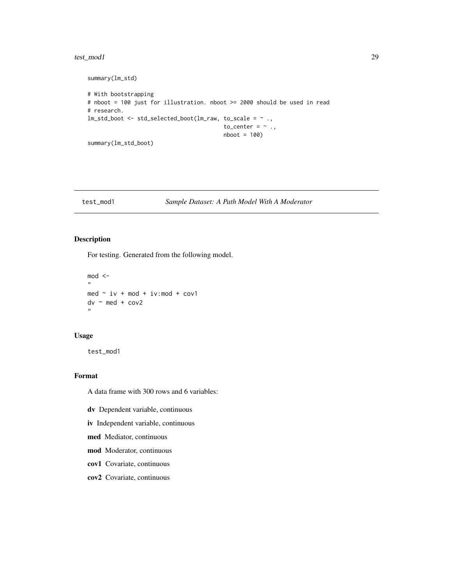#### <span id="page-28-0"></span>test\_mod1 29

```
summary(lm_std)
# With bootstrapping
# nboot = 100 just for illustration. nboot >= 2000 should be used in read
# research.
lm_std_boot <- std_selected_boot(lm_raw, to_scale = ~ .,
                                         to_center = \sim .,
                                         nboot = 100)
summary(lm_std_boot)
```
### test\_mod1 *Sample Dataset: A Path Model With A Moderator*

### Description

For testing. Generated from the following model.

```
mod < -,,
med \sim iv + mod + iv:mod + cov1
dv \sim med + cov2
"
```
#### Usage

test\_mod1

### Format

A data frame with 300 rows and 6 variables:

- dv Dependent variable, continuous
- iv Independent variable, continuous
- med Mediator, continuous
- mod Moderator, continuous
- cov1 Covariate, continuous
- cov2 Covariate, continuous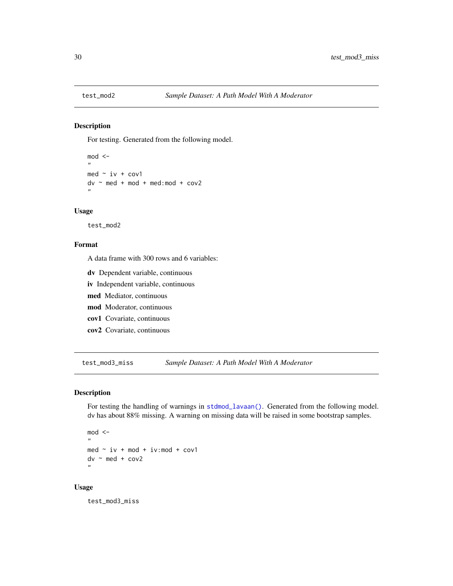<span id="page-29-0"></span>

### Description

For testing. Generated from the following model.

 $mod < -$ " med  $\sim$  iv + cov1  $dv$  ~ med + mod + med: mod + cov2 "

### Usage

test\_mod2

### Format

A data frame with 300 rows and 6 variables:

- dv Dependent variable, continuous
- iv Independent variable, continuous
- med Mediator, continuous
- mod Moderator, continuous
- cov1 Covariate, continuous
- cov2 Covariate, continuous

test\_mod3\_miss *Sample Dataset: A Path Model With A Moderator*

#### Description

For testing the handling of warnings in [stdmod\\_lavaan\(\)](#page-21-1). Generated from the following model. dv has about 88% missing. A warning on missing data will be raised in some bootstrap samples.

 $mod < -$ " med  $\sim$  iv + mod + iv:mod + cov1  $dv \sim$  med + cov2 ,,

#### Usage

test\_mod3\_miss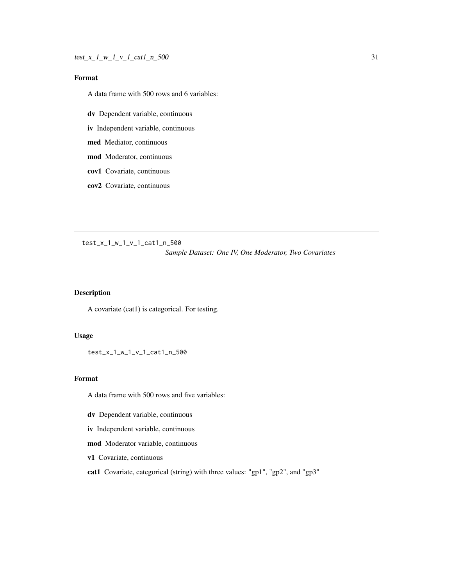### <span id="page-30-0"></span>Format

A data frame with 500 rows and 6 variables:

dv Dependent variable, continuous

iv Independent variable, continuous

med Mediator, continuous

mod Moderator, continuous

- cov1 Covariate, continuous
- cov2 Covariate, continuous

test\_x\_1\_w\_1\_v\_1\_cat1\_n\_500 *Sample Dataset: One IV, One Moderator, Two Covariates*

### Description

A covariate (cat1) is categorical. For testing.

#### Usage

test\_x\_1\_w\_1\_v\_1\_cat1\_n\_500

#### Format

A data frame with 500 rows and five variables:

- dv Dependent variable, continuous
- iv Independent variable, continuous
- mod Moderator variable, continuous
- v1 Covariate, continuous
- cat1 Covariate, categorical (string) with three values: "gp1", "gp2", and "gp3"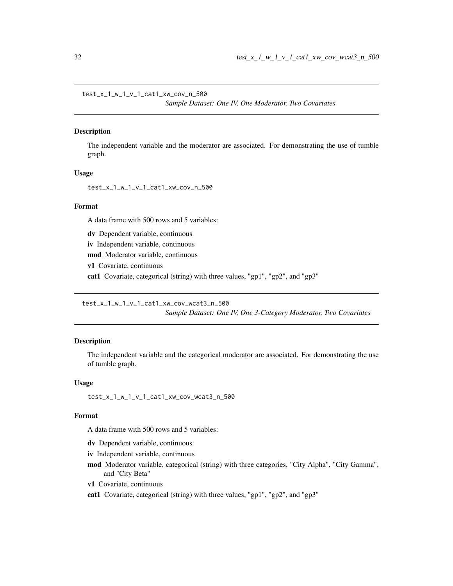<span id="page-31-0"></span>test\_x\_1\_w\_1\_v\_1\_cat1\_xw\_cov\_n\_500

*Sample Dataset: One IV, One Moderator, Two Covariates*

### Description

The independent variable and the moderator are associated. For demonstrating the use of tumble graph.

#### Usage

test\_x\_1\_w\_1\_v\_1\_cat1\_xw\_cov\_n\_500

#### Format

A data frame with 500 rows and 5 variables:

dv Dependent variable, continuous

iv Independent variable, continuous

mod Moderator variable, continuous

v1 Covariate, continuous

cat1 Covariate, categorical (string) with three values, "gp1", "gp2", and "gp3"

test\_x\_1\_w\_1\_v\_1\_cat1\_xw\_cov\_wcat3\_n\_500

*Sample Dataset: One IV, One 3-Category Moderator, Two Covariates*

### Description

The independent variable and the categorical moderator are associated. For demonstrating the use of tumble graph.

#### Usage

test\_x\_1\_w\_1\_v\_1\_cat1\_xw\_cov\_wcat3\_n\_500

#### Format

A data frame with 500 rows and 5 variables:

dv Dependent variable, continuous

iv Independent variable, continuous

- mod Moderator variable, categorical (string) with three categories, "City Alpha", "City Gamma", and "City Beta"
- v1 Covariate, continuous
- cat1 Covariate, categorical (string) with three values, "gp1", "gp2", and "gp3"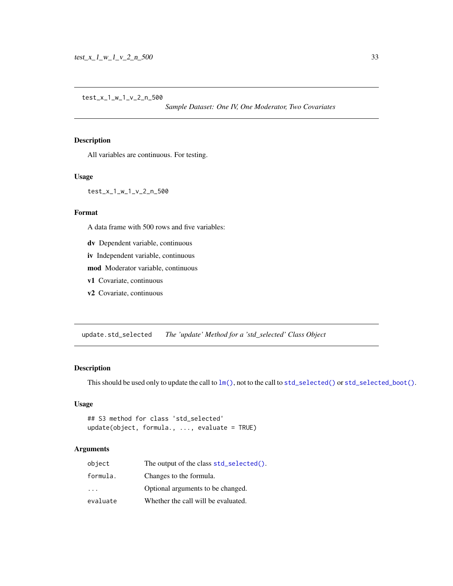*Sample Dataset: One IV, One Moderator, Two Covariates*

### <span id="page-32-0"></span>Description

All variables are continuous. For testing.

### Usage

test\_x\_1\_w\_1\_v\_2\_n\_500

### Format

A data frame with 500 rows and five variables:

- dv Dependent variable, continuous
- iv Independent variable, continuous

mod Moderator variable, continuous

- v1 Covariate, continuous
- v2 Covariate, continuous

update.std\_selected *The 'update' Method for a 'std\_selected' Class Object*

#### Description

This should be used only to update the call to  $lm()$ , not to the call to [std\\_selected\(\)](#page-23-1) or [std\\_selected\\_boot\(\)](#page-23-2).

### Usage

```
## S3 method for class 'std_selected'
update(object, formula., ..., evaluate = TRUE)
```
#### Arguments

| object                  | The output of the class std_selected(). |
|-------------------------|-----------------------------------------|
| formula.                | Changes to the formula.                 |
| $\cdot$ $\cdot$ $\cdot$ | Optional arguments to be changed.       |
| evaluate                | Whether the call will be evaluated.     |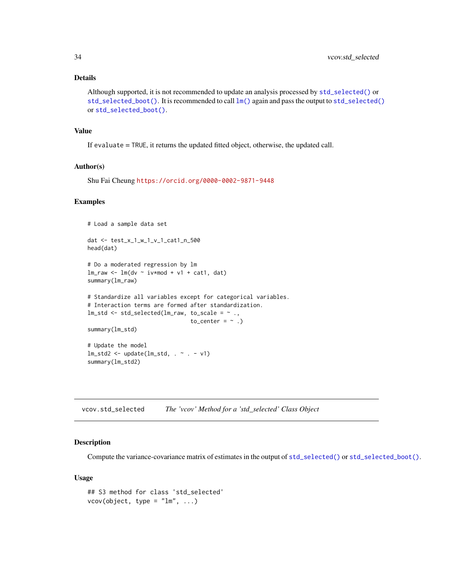### <span id="page-33-0"></span>Details

```
Although supported, it is not recommended to update an analysis processed by std_selected() or
std_selected_boot(). It is recommended to call lm()std_selected()
or std_selected_boot().
```
### Value

If evaluate = TRUE, it returns the updated fitted object, otherwise, the updated call.

### Author(s)

Shu Fai Cheung <https://orcid.org/0000-0002-9871-9448>

#### Examples

# Load a sample data set

```
dat <- test_x_1_w_1_v_1_cat1_n_500
head(dat)
# Do a moderated regression by lm
lmraw <- lm(dv ~ iv*mod + v1 + cat1, dat)
summary(lm_raw)
# Standardize all variables except for categorical variables.
# Interaction terms are formed after standardization.
lm_std <- std_selected(lm_raw, to_scale = ~ .,
```

```
to_center = \sim .)
```

```
summary(lm_std)
```
# Update the model  $lm\_std2 \leq update(lm\_std, . ~ ~ ~ ~ ~ ~ ~ ~ v1)$ summary(lm\_std2)

vcov.std\_selected *The 'vcov' Method for a 'std\_selected' Class Object*

### Description

Compute the variance-covariance matrix of estimates in the output of [std\\_selected\(\)](#page-23-1) or [std\\_selected\\_boot\(\)](#page-23-2).

#### Usage

```
## S3 method for class 'std_selected'
vcov(object, type = "lm", ...)
```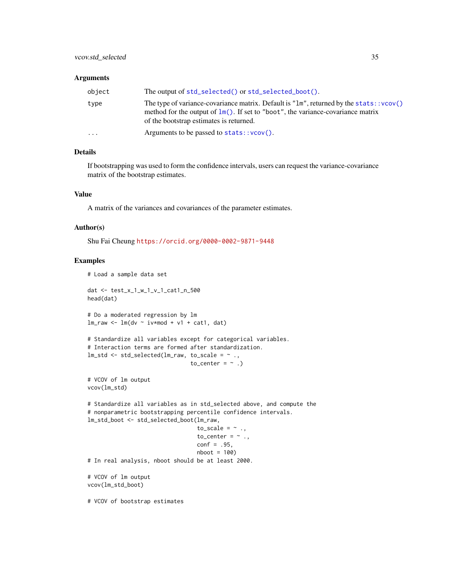#### <span id="page-34-0"></span>**Arguments**

| object | The output of std_selected() or std_selected_boot().                                                                                                                                                                          |
|--------|-------------------------------------------------------------------------------------------------------------------------------------------------------------------------------------------------------------------------------|
| type   | The type of variance-covariance matrix. Default is $"lm"$ , returned by the stats:: $vcov()$<br>method for the output of $lm()$ . If set to "boot", the variance-covariance matrix<br>of the bootstrap estimates is returned. |
| .      | Arguments to be passed to $stats::vcov()$ .                                                                                                                                                                                   |

#### Details

If bootstrapping was used to form the confidence intervals, users can request the variance-covariance matrix of the bootstrap estimates.

### Value

A matrix of the variances and covariances of the parameter estimates.

### Author(s)

Shu Fai Cheung <https://orcid.org/0000-0002-9871-9448>

```
# Load a sample data set
dat <- test_x_1_w_1_v_1_cat1_n_500
head(dat)
# Do a moderated regression by lm
lm_raw <- lm(dv ~ iv*mod + v1 + cat1, dat)
# Standardize all variables except for categorical variables.
# Interaction terms are formed after standardization.
lm\_std \leftarrow std\_selected(lm\_raw, to\_scale = ~ . ,to_center = \sim.)
# VCOV of lm output
vcov(lm_std)
# Standardize all variables as in std_selected above, and compute the
# nonparametric bootstrapping percentile confidence intervals.
lm_std_boot <- std_selected_boot(lm_raw,
                                  to_scale = \sim .,
                                  to_center = \sim .,
                                  conf = .95,
                                  nboot = 100# In real analysis, nboot should be at least 2000.
# VCOV of lm output
vcov(lm_std_boot)
# VCOV of bootstrap estimates
```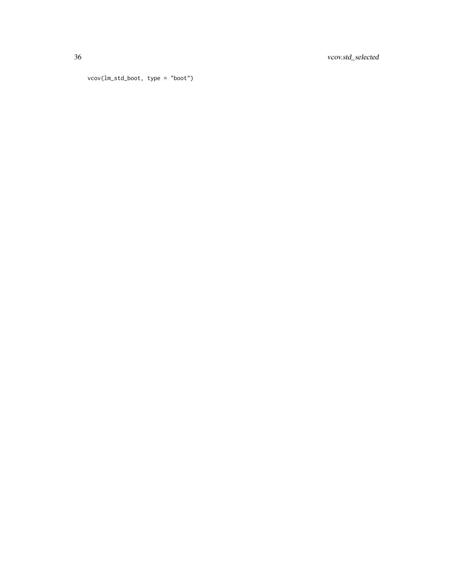36 vcov.std\_selected

```
vcov(lm_std_boot, type = "boot")
```